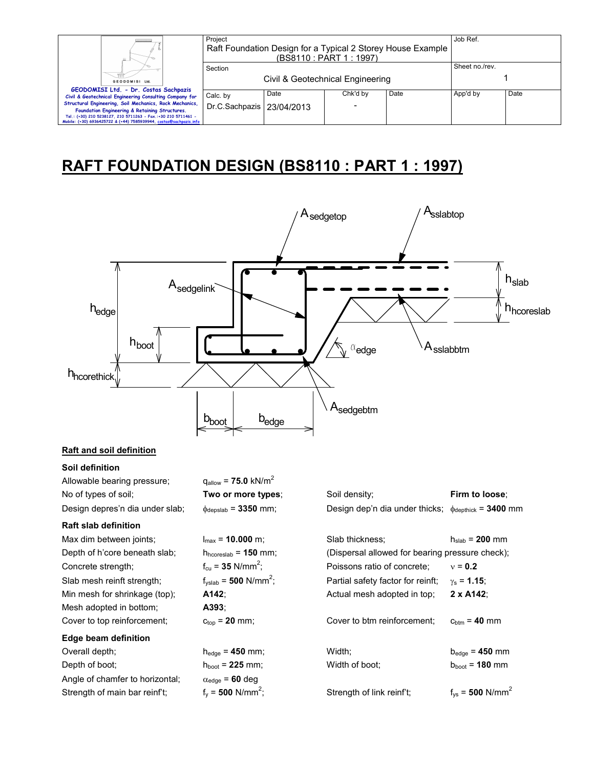| Ш.                                                                                                                                                                                    | Project<br>Raft Foundation Design for a Typical 2 Storey House Example<br>(BS8110 : PART 1 : 1997) |      |          |      | Job Ref.       |      |
|---------------------------------------------------------------------------------------------------------------------------------------------------------------------------------------|----------------------------------------------------------------------------------------------------|------|----------|------|----------------|------|
| GEODOMISI Ltd.                                                                                                                                                                        | Section<br>Civil & Geotechnical Engineering                                                        |      |          |      | Sheet no./rev. |      |
| GEODOMISI Ltd. - Dr. Costas Sachpazis<br>Civil & Geotechnical Engineering Consulting Company for<br>Structural Engineering, Soil Mechanics, Rock Mechanics,                           | Calc. by<br>Dr.C.Sachpazis   23/04/2013                                                            | Date | Chk'd by | Date | App'd by       | Date |
| Foundation Engineering & Retaining Structures.<br>Tel.: (+30) 210 5238127, 210 5711263 - Fax.:+30 210 5711461 -<br>Mobile: (+30) 6936425722 & (+44) 7585939944, costas@sachpazis.info |                                                                                                    |      |          |      |                |      |

## **RAFT FOUNDATION DESIGN (BS8110 : PART 1 : 1997)**



## **Raft and soil definition**

**Soil definition** 

| Allowable bearing pressure;     | $q_{\text{allow}} = 75.0 \text{ kN/m}^2$  |                                                                           |                                  |
|---------------------------------|-------------------------------------------|---------------------------------------------------------------------------|----------------------------------|
| No of types of soil;            | Two or more types;                        | Soil density;                                                             | Firm to loose;                   |
| Design depres'n dia under slab; | $\phi_{\text{depslab}}$ = 3350 mm;        | Design dep'n dia under thicks; $\phi_{\text{depthick}} = 3400 \text{ mm}$ |                                  |
| <b>Raft slab definition</b>     |                                           |                                                                           |                                  |
| Max dim between joints;         | $I_{max}$ = 10.000 m;                     | Slab thickness;                                                           | $h_{slab}$ = 200 mm              |
| Depth of h'core beneath slab;   | $h_{\text{hcoreslab}} = 150$ mm;          | (Dispersal allowed for bearing pressure check);                           |                                  |
| Concrete strength;              | $f_{\text{cu}} = 35$ N/mm <sup>2</sup> ;  | Poissons ratio of concrete:                                               | $v = 0.2$                        |
| Slab mesh reinft strength;      | $f_{\text{vslab}} = 500 \text{ N/mm}^2$ ; | Partial safety factor for reinft;                                         | $\gamma_s = 1.15$ ;              |
| Min mesh for shrinkage (top);   | A142:                                     | Actual mesh adopted in top;                                               | $2 \times A142$                  |
| Mesh adopted in bottom;         | A393:                                     |                                                                           |                                  |
| Cover to top reinforcement;     | $c_{top}$ = 20 mm;                        | Cover to btm reinforcement:                                               | $c_{\text{btm}} = 40$ mm         |
| Edge beam definition            |                                           |                                                                           |                                  |
| Overall depth;                  | $h_{\text{edge}} = 450$ mm;               | Width;                                                                    | $b_{\text{edge}} = 450$ mm       |
| Depth of boot;                  | $h_{boot} = 225$ mm;                      | Width of boot:                                                            | $b_{boot} = 180$ mm              |
| Angle of chamfer to horizontal; | $\alpha_{\text{edge}} = 60 \text{ deg}$   |                                                                           |                                  |
| Strength of main bar reinf't;   | $f_v = 500$ N/mm <sup>2</sup> ;           | Strength of link reinf't;                                                 | $f_{vs}$ = 500 N/mm <sup>2</sup> |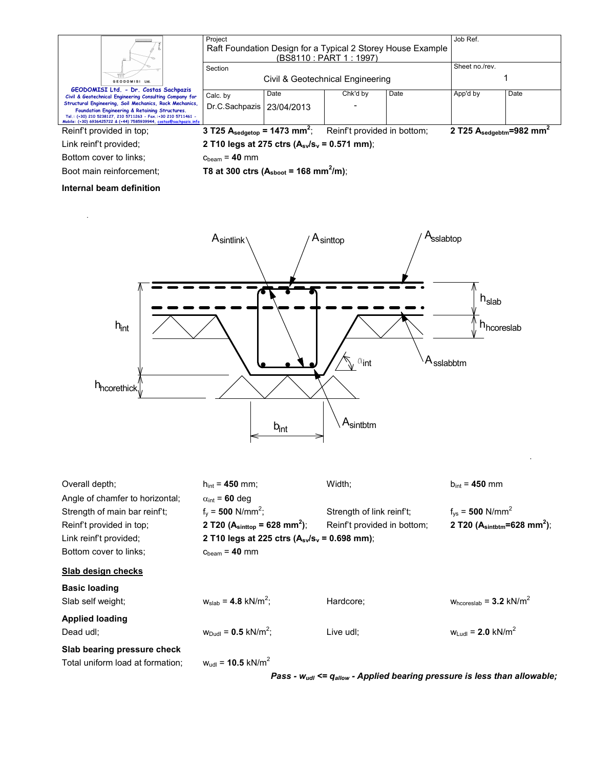|                                                                                                                                                                                                                                                                                                                                                      | Project                                              | Raft Foundation Design for a Typical 2 Storey House Example<br>(BS8110 : PART 1 : 1997) | Job Ref.                    |      |                                              |      |
|------------------------------------------------------------------------------------------------------------------------------------------------------------------------------------------------------------------------------------------------------------------------------------------------------------------------------------------------------|------------------------------------------------------|-----------------------------------------------------------------------------------------|-----------------------------|------|----------------------------------------------|------|
| GEODOMISI Ltd.                                                                                                                                                                                                                                                                                                                                       | Section<br>Civil & Geotechnical Engineering          |                                                                                         |                             |      | Sheet no./rev.                               |      |
| GEODOMISI Ltd. - Dr. Costas Sachpazis<br>Civil & Geotechnical Engineering Consulting Company for<br>Structural Engineering, Soil Mechanics, Rock Mechanics,<br>Foundation Engineering & Retaining Structures.<br>Tel.: (+30) 210 5238127, 210 5711263 - Fax.:+30 210 5711461 -<br>Mobile: (+30) 6936425722 & (+44) 7585939944, costas@sachpazis.info | Calc. by<br>Dr.C.Sachpazis                           | Date<br>23/04/2013                                                                      | Chk'd by                    | Date | App'd by                                     | Date |
| Reinf't provided in top;                                                                                                                                                                                                                                                                                                                             | 3 T25 $A_{\text{sedgetop}}$ = 1473 mm <sup>2</sup> ; |                                                                                         | Reinf't provided in bottom; |      | 2 T25 $A_{\text{sedgebra}}=982 \text{ mm}^2$ |      |
| Link reinf't provided;                                                                                                                                                                                                                                                                                                                               | 2 T10 legs at 275 ctrs $(A_{sv}/s_v = 0.571$ mm);    |                                                                                         |                             |      |                                              |      |
| Bottom cover to links:                                                                                                                                                                                                                                                                                                                               | $c_{\text{beam}}$ = 40 mm                            |                                                                                         |                             |      |                                              |      |

Boot main reinforcement; **T8 at 300 ctrs (A**<sub>sboot</sub> = 168 mm<sup>2</sup>/m);

## **Internal beam definition**



| Overall depth:                   | $h_{int}$ = 450 mm;                                   | Width;                      | $b_{int} = 450$ mm                                    |
|----------------------------------|-------------------------------------------------------|-----------------------------|-------------------------------------------------------|
| Angle of chamfer to horizontal:  | $\alpha_{\text{int}}$ = 60 deg                        |                             |                                                       |
| Strength of main bar reinf't:    | $f_v = 500$ N/mm <sup>2</sup> ;                       | Strength of link reinf't;   | $f_{vs}$ = 500 N/mm <sup>2</sup>                      |
| Reinf't provided in top;         | 2 T20 ( $A_{\text{sinttop}}$ = 628 mm <sup>2</sup> ); | Reinf't provided in bottom; | 2 T20 ( $A_{\text{sintbtm}} = 628$ mm <sup>2</sup> ); |
| Link reinf't provided;           | 2 T10 legs at 225 ctrs $(A_{sv}/s_v = 0.698$ mm);     |                             |                                                       |
| Bottom cover to links:           | $c_{beam} = 40$ mm                                    |                             |                                                       |
| Slab design checks               |                                                       |                             |                                                       |
| <b>Basic loading</b>             |                                                       |                             |                                                       |
| Slab self weight;                | $w_{slab} = 4.8$ kN/m <sup>2</sup> ;                  | Hardcore;                   | $W_{\text{hcoreslab}} = 3.2 \text{ kN/m}^2$           |
| <b>Applied loading</b>           |                                                       |                             |                                                       |
| Dead udl;                        | $W_{DudI} = 0.5$ kN/m <sup>2</sup> ;                  | Live udl:                   | $W_{Lud} = 2.0$ kN/m <sup>2</sup>                     |
| Slab bearing pressure check      |                                                       |                             |                                                       |
| Total uniform load at formation; | $W_{\text{ud}} = 10.5 \text{ kN/m}^2$                 |                             |                                                       |

*Pass - wudl <= qallow - Applied bearing pressure is less than allowable;*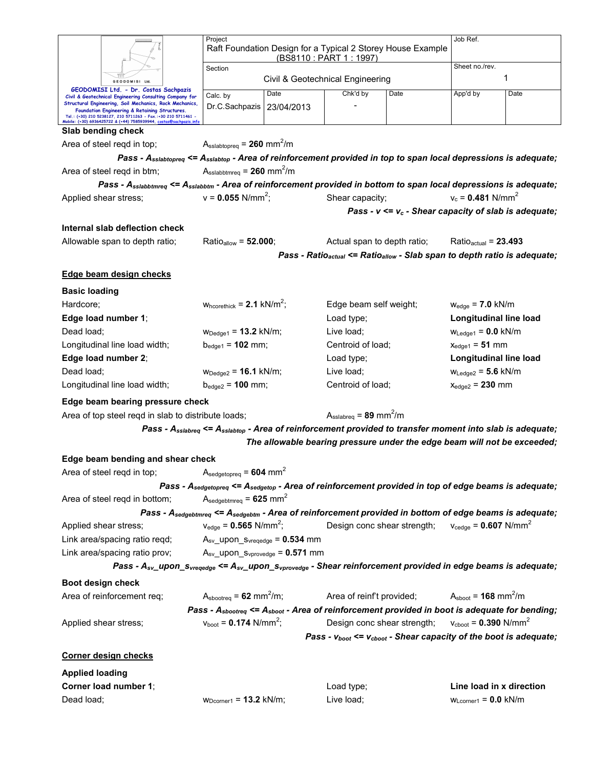|                                                                 |                                                                                                                                                                                      | Project                                                     | Raft Foundation Design for a Typical 2 Storey House Example              | Job Ref.                                         |                                                                                                                                            |                                           |      |
|-----------------------------------------------------------------|--------------------------------------------------------------------------------------------------------------------------------------------------------------------------------------|-------------------------------------------------------------|--------------------------------------------------------------------------|--------------------------------------------------|--------------------------------------------------------------------------------------------------------------------------------------------|-------------------------------------------|------|
|                                                                 |                                                                                                                                                                                      | (BS8110 : PART 1 : 1997)<br>Section                         |                                                                          |                                                  |                                                                                                                                            | Sheet no./rev.                            |      |
|                                                                 | <b>GEODOMISI</b><br>Ltd                                                                                                                                                              |                                                             |                                                                          | Civil & Geotechnical Engineering                 |                                                                                                                                            |                                           | 1    |
|                                                                 | GEODOMISI Ltd. - Dr. Costas Sachpazis                                                                                                                                                | Calc. by                                                    | Date                                                                     | Chk'd by                                         | Date                                                                                                                                       | App'd by                                  | Date |
|                                                                 | Civil & Geotechnical Engineering Consulting Company for<br>Structural Engineering, Soil Mechanics, Rock Mechanics,                                                                   | Dr.C.Sachpazis                                              | 23/04/2013                                                               |                                                  |                                                                                                                                            |                                           |      |
|                                                                 | Foundation Engineering & Retaining Structures.<br>Tel.: (+30) 210 5238127, 210 5711263 - Fax.:+30 210 5711461 -<br>Mobile: (+30) 6936425722 & (+44) 7585939944, costas@sachpazis.inf |                                                             |                                                                          |                                                  |                                                                                                                                            |                                           |      |
|                                                                 | Slab bending check                                                                                                                                                                   |                                                             |                                                                          |                                                  |                                                                                                                                            |                                           |      |
|                                                                 | Area of steel regd in top;                                                                                                                                                           | $A_{\text{sslabtopreq}} = 260 \text{ mm}^2/\text{m}$        |                                                                          |                                                  |                                                                                                                                            |                                           |      |
|                                                                 |                                                                                                                                                                                      |                                                             |                                                                          |                                                  | Pass - $A_{\text{sslabtopeg}} \leq A_{\text{sslabtop}}$ - Area of reinforcement provided in top to span local depressions is adequate;     |                                           |      |
|                                                                 | Area of steel regd in btm;                                                                                                                                                           | $A_{\text{sslabbtmreq}} = 260 \text{ mm}^2/\text{m}$        |                                                                          |                                                  |                                                                                                                                            |                                           |      |
|                                                                 |                                                                                                                                                                                      |                                                             |                                                                          |                                                  | Pass - A <sub>sslabbtmreq</sub> <= A <sub>sslabbtm</sub> - Area of reinforcement provided in bottom to span local depressions is adequate; |                                           |      |
|                                                                 | Applied shear stress;                                                                                                                                                                | $v = 0.055$ N/mm <sup>2</sup> ;                             |                                                                          | Shear capacity;                                  |                                                                                                                                            | $v_c = 0.481$ N/mm <sup>2</sup>           |      |
|                                                                 |                                                                                                                                                                                      |                                                             |                                                                          |                                                  | Pass - $v \le v_c$ - Shear capacity of slab is adequate;                                                                                   |                                           |      |
|                                                                 | Internal slab deflection check                                                                                                                                                       |                                                             |                                                                          |                                                  |                                                                                                                                            |                                           |      |
|                                                                 | Allowable span to depth ratio;                                                                                                                                                       | Ratio <sub>allow</sub> = 52.000;                            |                                                                          | Actual span to depth ratio;                      |                                                                                                                                            | Ratio $_{\text{actual}}$ = 23.493         |      |
|                                                                 |                                                                                                                                                                                      |                                                             |                                                                          |                                                  | Pass - Ratio <sub>actual</sub> <= Ratio <sub>allow</sub> - Slab span to depth ratio is adequate;                                           |                                           |      |
|                                                                 | Edge beam design checks                                                                                                                                                              |                                                             |                                                                          |                                                  |                                                                                                                                            |                                           |      |
| <b>Basic loading</b>                                            |                                                                                                                                                                                      |                                                             |                                                                          |                                                  |                                                                                                                                            |                                           |      |
| Hardcore;                                                       |                                                                                                                                                                                      | $W_{\text{hcorethick}} = 2.1 \text{ kN/m}^2$ ;              |                                                                          | Edge beam self weight;                           |                                                                                                                                            | $w_{edge}$ = 7.0 kN/m                     |      |
|                                                                 | Edge load number 1;                                                                                                                                                                  |                                                             |                                                                          | Load type;                                       |                                                                                                                                            | Longitudinal line load                    |      |
| Dead load;                                                      |                                                                                                                                                                                      | $W_{\text{Dedge}1} = 13.2 \text{ kN/m}$ ;                   |                                                                          | Live load;                                       |                                                                                                                                            | $W_{\text{Ledge1}} = 0.0$ kN/m            |      |
|                                                                 | Longitudinal line load width;                                                                                                                                                        | $b_{edge1} = 102$ mm;                                       |                                                                          | Centroid of load;                                |                                                                                                                                            | $x_{edge1} = 51$ mm                       |      |
|                                                                 | Edge load number 2;                                                                                                                                                                  |                                                             |                                                                          | Load type;                                       |                                                                                                                                            | Longitudinal line load                    |      |
| Dead load;                                                      |                                                                                                                                                                                      | $W_{\text{Dedge2}} = 16.1 \text{ kN/m}$ ;                   |                                                                          | Live load;                                       |                                                                                                                                            | $W_{\text{Ledge2}} = 5.6$ kN/m            |      |
|                                                                 | Longitudinal line load width;                                                                                                                                                        | $b_{\text{edge2}} = 100 \text{ mm}$ ;                       |                                                                          | Centroid of load;                                |                                                                                                                                            | $x_{edge2} = 230$ mm                      |      |
|                                                                 | Edge beam bearing pressure check                                                                                                                                                     |                                                             |                                                                          |                                                  |                                                                                                                                            |                                           |      |
|                                                                 | Area of top steel reqd in slab to distribute loads;                                                                                                                                  |                                                             |                                                                          | $A_{\text{sslabreq}} = 89 \text{ mm}^2/\text{m}$ |                                                                                                                                            |                                           |      |
|                                                                 |                                                                                                                                                                                      |                                                             |                                                                          |                                                  | Pass - A <sub>sslabreq</sub> <= A <sub>sslabtop</sub> - Area of reinforcement provided to transfer moment into slab is adequate;           |                                           |      |
|                                                                 |                                                                                                                                                                                      |                                                             |                                                                          |                                                  | The allowable bearing pressure under the edge beam will not be exceeded;                                                                   |                                           |      |
|                                                                 | Edge beam bending and shear check                                                                                                                                                    |                                                             |                                                                          |                                                  |                                                                                                                                            |                                           |      |
|                                                                 | Area of steel reqd in top;                                                                                                                                                           | $A_{\text{sedgetopreq}} = 604 \text{ mm}^2$                 |                                                                          |                                                  |                                                                                                                                            |                                           |      |
|                                                                 |                                                                                                                                                                                      |                                                             |                                                                          |                                                  | Pass - Asedgetopreq <= Asedgetop - Area of reinforcement provided in top of edge beams is adequate;                                        |                                           |      |
|                                                                 | Area of steel regd in bottom;                                                                                                                                                        | $A_{\text{sedgebtmreq}} = 625 \text{ mm}^2$                 |                                                                          |                                                  |                                                                                                                                            |                                           |      |
|                                                                 |                                                                                                                                                                                      |                                                             |                                                                          |                                                  | Pass - A <sub>sedgebtmreq</sub> <= A <sub>sedgebtm</sub> - Area of reinforcement provided in bottom of edge beams is adequate;             |                                           |      |
|                                                                 | Applied shear stress;                                                                                                                                                                | $v_{\text{edge}} = 0.565 \text{ N/mm}^2$ ;                  |                                                                          | Design conc shear strength;                      |                                                                                                                                            | $v_{\text{cedge}} = 0.607 \text{ N/mm}^2$ |      |
|                                                                 | Link area/spacing ratio reqd;                                                                                                                                                        | $A_{sv}\_\text{upon}\_S_{vregedge} = 0.534 \text{ mm}$      |                                                                          |                                                  |                                                                                                                                            |                                           |      |
|                                                                 | Link area/spacing ratio prov;                                                                                                                                                        | $A_{sv}\_\text{upon}\_\text{Svprovedge} = 0.571\ \text{mm}$ |                                                                          |                                                  |                                                                                                                                            |                                           |      |
|                                                                 |                                                                                                                                                                                      |                                                             |                                                                          |                                                  | Pass - A <sub>sv</sub> upon $s_{vreqedge} \leq A_{sv}$ upon $s_{vprovedge}$ - Shear reinforcement provided in edge beams is adequate;      |                                           |      |
| Boot design check                                               |                                                                                                                                                                                      |                                                             |                                                                          |                                                  |                                                                                                                                            |                                           |      |
|                                                                 | Area of reinforcement req;                                                                                                                                                           | $A_{\text{sbootreq}} = 62 \text{ mm}^2/\text{m}$ ;          |                                                                          | Area of reinf't provided;                        |                                                                                                                                            | $Ashoot = 168 mm2/m$                      |      |
|                                                                 |                                                                                                                                                                                      |                                                             |                                                                          |                                                  | Pass - A <sub>sbootreq</sub> <= A <sub>sboot</sub> - Area of reinforcement provided in boot is adequate for bending;                       |                                           |      |
| $v_{boot} = 0.174$ N/mm <sup>2</sup> ;<br>Applied shear stress; |                                                                                                                                                                                      |                                                             | $v_{\text{cboot}} = 0.390 \text{ N/mm}^2$<br>Design conc shear strength; |                                                  |                                                                                                                                            |                                           |      |
|                                                                 |                                                                                                                                                                                      |                                                             |                                                                          |                                                  | Pass - $v_{boot} \le v_{cboot}$ - Shear capacity of the boot is adequate;                                                                  |                                           |      |
|                                                                 | <b>Corner design checks</b>                                                                                                                                                          |                                                             |                                                                          |                                                  |                                                                                                                                            |                                           |      |
| <b>Applied loading</b>                                          |                                                                                                                                                                                      |                                                             |                                                                          |                                                  |                                                                                                                                            |                                           |      |
|                                                                 | Corner load number 1;                                                                                                                                                                |                                                             |                                                                          | Load type;                                       |                                                                                                                                            | Line load in x direction                  |      |
| Dead load;                                                      |                                                                                                                                                                                      | $W_{Dcorner1} = 13.2$ kN/m;                                 |                                                                          | Live load;                                       |                                                                                                                                            | $WLcorner1 = 0.0$ kN/m                    |      |
|                                                                 |                                                                                                                                                                                      |                                                             |                                                                          |                                                  |                                                                                                                                            |                                           |      |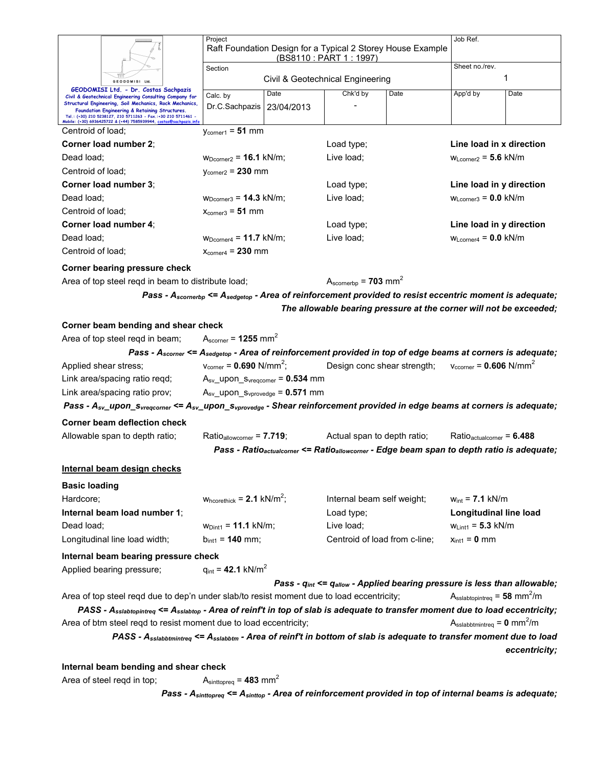|                      |                                                                                                                                                                                                                            | Project                                                     |                                  |                                                                                                                                |            | Job Ref.                                                                                                          |                           |  |
|----------------------|----------------------------------------------------------------------------------------------------------------------------------------------------------------------------------------------------------------------------|-------------------------------------------------------------|----------------------------------|--------------------------------------------------------------------------------------------------------------------------------|------------|-------------------------------------------------------------------------------------------------------------------|---------------------------|--|
|                      |                                                                                                                                                                                                                            | Raft Foundation Design for a Typical 2 Storey House Example | (BS8110: PART 1: 1997)           |                                                                                                                                |            |                                                                                                                   |                           |  |
|                      |                                                                                                                                                                                                                            | Section                                                     |                                  | Sheet no./rev.                                                                                                                 |            |                                                                                                                   |                           |  |
|                      | GEODOMISI Ltd.                                                                                                                                                                                                             |                                                             | Civil & Geotechnical Engineering |                                                                                                                                | 1          |                                                                                                                   |                           |  |
|                      | GEODOMISI Ltd. - Dr. Costas Sachpazis<br>Civil & Geotechnical Engineering Consulting Company for                                                                                                                           | Calc. by                                                    | Date                             | Chk'd by                                                                                                                       | Date       | App'd by                                                                                                          | Date                      |  |
|                      | Structural Engineering, Soil Mechanics, Rock Mechanics,<br>Foundation Engineering & Retaining Structures.                                                                                                                  | Dr.C.Sachpazis                                              | 23/04/2013                       |                                                                                                                                |            |                                                                                                                   |                           |  |
|                      | Tel.: (+30) 210 5238127, 210 5711263 - Fax.:+30 210 5711461 -<br>Mobile: (+30) 6936425722 & (+44) 7585939944, costas@sachpazis.infc                                                                                        |                                                             |                                  |                                                                                                                                |            |                                                                                                                   |                           |  |
| Centroid of load;    |                                                                                                                                                                                                                            | $V_{corner1} = 51$ mm                                       |                                  |                                                                                                                                |            |                                                                                                                   |                           |  |
|                      | Corner load number 2;                                                                                                                                                                                                      |                                                             |                                  | Load type;                                                                                                                     |            | Line load in x direction                                                                                          |                           |  |
| Dead load;           |                                                                                                                                                                                                                            | $W_{Dcorner2} = 16.1$ kN/m;                                 |                                  |                                                                                                                                | Live load; |                                                                                                                   | $W_{Lcorner2} = 5.6$ kN/m |  |
| Centroid of load;    |                                                                                                                                                                                                                            | $V_{\text{corner2}} = 230$ mm                               |                                  |                                                                                                                                |            |                                                                                                                   |                           |  |
|                      | Corner load number 3;                                                                                                                                                                                                      |                                                             |                                  |                                                                                                                                | Load type; |                                                                                                                   | Line load in y direction  |  |
| Dead load;           |                                                                                                                                                                                                                            | $W_{Dcorner3} = 14.3$ kN/m;                                 |                                  |                                                                                                                                | Live load; |                                                                                                                   | $WLcorner3 = 0.0$ kN/m    |  |
| Centroid of load:    |                                                                                                                                                                                                                            | $x_{\text{corner}} = 51 \text{ mm}$                         |                                  |                                                                                                                                |            |                                                                                                                   |                           |  |
|                      | Corner load number 4:                                                                                                                                                                                                      |                                                             |                                  | Load type;                                                                                                                     |            | Line load in y direction                                                                                          |                           |  |
| Dead load:           |                                                                                                                                                                                                                            | $W_{Dcorner4} = 11.7$ kN/m;                                 |                                  | Live load:                                                                                                                     |            | $W_{Lcorner4} = 0.0$ kN/m                                                                                         |                           |  |
| Centroid of load:    |                                                                                                                                                                                                                            | $X_{\text{corner4}} = 230$ mm                               |                                  |                                                                                                                                |            |                                                                                                                   |                           |  |
|                      | Corner bearing pressure check                                                                                                                                                                                              |                                                             |                                  |                                                                                                                                |            |                                                                                                                   |                           |  |
|                      | Area of top steel regd in beam to distribute load;                                                                                                                                                                         |                                                             |                                  | $A_{\rm scornerbp}$ = 703 mm <sup>2</sup>                                                                                      |            |                                                                                                                   |                           |  |
|                      |                                                                                                                                                                                                                            |                                                             |                                  | Pass - $A_{\text{scornerb}} \leq A_{\text{sedgetop}}$ - Area of reinforcement provided to resist eccentric moment is adequate; |            |                                                                                                                   |                           |  |
|                      |                                                                                                                                                                                                                            |                                                             |                                  | The allowable bearing pressure at the corner will not be exceeded;                                                             |            |                                                                                                                   |                           |  |
|                      | Corner beam bending and shear check                                                                                                                                                                                        |                                                             |                                  |                                                                                                                                |            |                                                                                                                   |                           |  |
|                      | Area of top steel regd in beam;                                                                                                                                                                                            | $A_{\rm scorner}$ = 1255 mm <sup>2</sup>                    |                                  |                                                                                                                                |            |                                                                                                                   |                           |  |
|                      | Pass - $A_{\text{score}}$ <= $A_{\text{sequence}}$ - Area of reinforcement provided in top of edge beams at corners is adequate;                                                                                           |                                                             |                                  |                                                                                                                                |            |                                                                                                                   |                           |  |
|                      | Applied shear stress;                                                                                                                                                                                                      | $v_{\text{corner}} = 0.690 \text{ N/mm}^2$ ;                |                                  | Design conc shear strength;                                                                                                    |            | $v_{\text{ccorner}} = 0.606 \text{ N/mm}^2$                                                                       |                           |  |
|                      | Link area/spacing ratio reqd;                                                                                                                                                                                              | $A_{sv}\_\text{upon}\_S_{vreqcorner} = 0.534 \text{ mm}$    |                                  |                                                                                                                                |            |                                                                                                                   |                           |  |
|                      | Link area/spacing ratio prov;                                                                                                                                                                                              | $A_{sv}\_\text{upon}\_\text{Svprovedge} = 0.571 \text{ mm}$ |                                  |                                                                                                                                |            |                                                                                                                   |                           |  |
|                      | Pass - $A_{sv}$ upon s <sub>yreqcomer</sub> <= $A_{sv}$ upon s <sub>yprovedge</sub> - Shear reinforcement provided in edge beams at corners is adequate;                                                                   |                                                             |                                  |                                                                                                                                |            |                                                                                                                   |                           |  |
|                      | Corner beam deflection check                                                                                                                                                                                               |                                                             |                                  |                                                                                                                                |            |                                                                                                                   |                           |  |
|                      | Allowable span to depth ratio;                                                                                                                                                                                             | $Ratio_{allowcorner} = 7.719$ ;                             |                                  | Actual span to depth ratio;                                                                                                    |            | $Ratio_{actualcorner} = 6.488$                                                                                    |                           |  |
|                      |                                                                                                                                                                                                                            |                                                             |                                  |                                                                                                                                |            | Pass - Ratio <sub>actualcorner</sub> <= Ratio <sub>allowcorner</sub> - Edge beam span to depth ratio is adequate; |                           |  |
|                      |                                                                                                                                                                                                                            |                                                             |                                  |                                                                                                                                |            |                                                                                                                   |                           |  |
|                      | <u>Internal beam design checks</u>                                                                                                                                                                                         |                                                             |                                  |                                                                                                                                |            |                                                                                                                   |                           |  |
| <b>Basic loading</b> |                                                                                                                                                                                                                            |                                                             |                                  |                                                                                                                                |            |                                                                                                                   |                           |  |
| Hardcore;            |                                                                                                                                                                                                                            | $W_{\text{hcorethick}} = 2.1 \text{ kN/m}^2$ ;              |                                  | Internal beam self weight;                                                                                                     |            | $w_{int} = 7.1$ kN/m                                                                                              |                           |  |
|                      | Internal beam load number 1;                                                                                                                                                                                               |                                                             |                                  | Load type;                                                                                                                     |            | Longitudinal line load                                                                                            |                           |  |
| Dead load;           |                                                                                                                                                                                                                            | $w_{Dint1} = 11.1$ kN/m;                                    |                                  | Live load;                                                                                                                     |            | $w_{\text{Lint1}} = 5.3 \text{ kN/m}$                                                                             |                           |  |
|                      | Longitudinal line load width;                                                                                                                                                                                              | $b_{\text{int1}} = 140$ mm;                                 |                                  | Centroid of load from c-line;                                                                                                  |            | $x_{int1} = 0$ mm                                                                                                 |                           |  |
|                      | Internal beam bearing pressure check                                                                                                                                                                                       |                                                             |                                  |                                                                                                                                |            |                                                                                                                   |                           |  |
|                      | Applied bearing pressure;                                                                                                                                                                                                  | $q_{int} = 42.1 \text{ kN/m}^2$                             |                                  |                                                                                                                                |            |                                                                                                                   |                           |  |
|                      |                                                                                                                                                                                                                            |                                                             |                                  | Pass - $q_{int}$ <= $q_{allow}$ - Applied bearing pressure is less than allowable;                                             |            |                                                                                                                   |                           |  |
|                      | Area of top steel reqd due to dep'n under slab/to resist moment due to load eccentricity;<br>PASS - Asslabtopintreq <= Asslabtop - Area of reinf't in top of slab is adequate to transfer moment due to load eccentricity; |                                                             |                                  |                                                                                                                                |            | $A_{\text{sslabtop}} = 58 \text{ mm}^2/\text{m}$                                                                  |                           |  |
|                      | Area of btm steel regd to resist moment due to load eccentricity;                                                                                                                                                          |                                                             |                                  |                                                                                                                                |            | $A_{\text{sslabbtiminterg}} = 0 \text{ mm}^2/\text{m}$                                                            |                           |  |
|                      | PASS - A <sub>sslabbtmintreq</sub> <= A <sub>sslabbtm</sub> - Area of reinf't in bottom of slab is adequate to transfer moment due to load                                                                                 |                                                             |                                  |                                                                                                                                |            |                                                                                                                   |                           |  |
|                      |                                                                                                                                                                                                                            |                                                             |                                  |                                                                                                                                |            |                                                                                                                   | eccentricity;             |  |
|                      |                                                                                                                                                                                                                            |                                                             |                                  |                                                                                                                                |            |                                                                                                                   |                           |  |
|                      | Internal beam bending and shear check                                                                                                                                                                                      |                                                             |                                  |                                                                                                                                |            |                                                                                                                   |                           |  |
|                      | Area of steel reqd in top;                                                                                                                                                                                                 | $Asinttopreq = 483 mm2$                                     |                                  |                                                                                                                                |            |                                                                                                                   |                           |  |

*Pass - Asinttopreq <= Asinttop - Area of reinforcement provided in top of internal beams is adequate;*